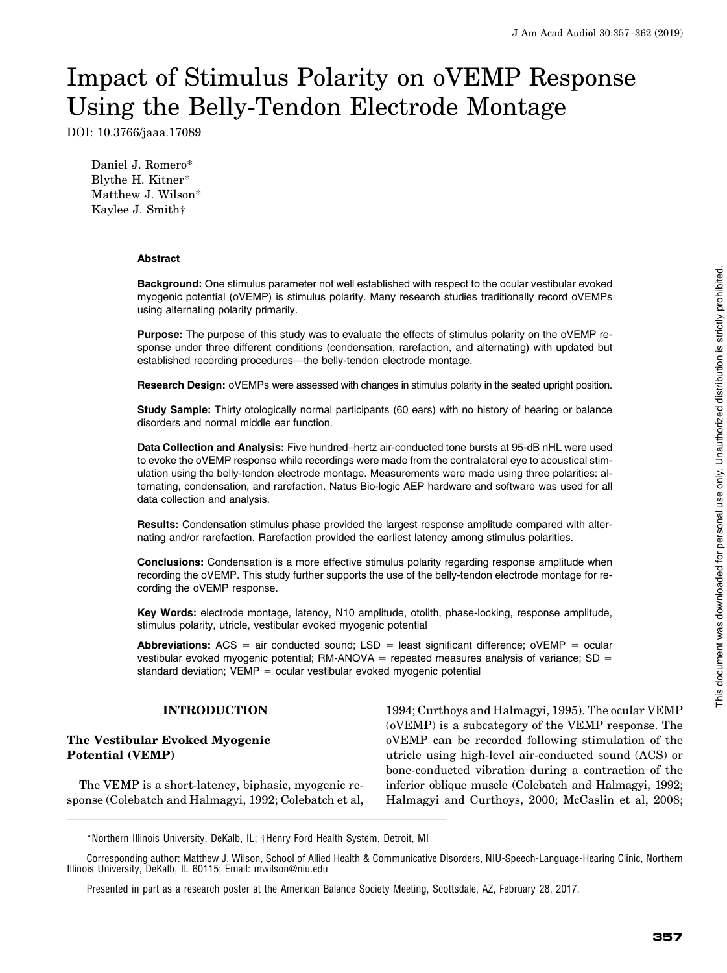# Impact of Stimulus Polarity on oVEMP Response Using the Belly-Tendon Electrode Montage

DOI: 10.3766/jaaa.17089

Daniel J. Romero\* Blythe H. Kitner\* Matthew J. Wilson\* Kaylee J. Smith†

#### Abstract

Background: One stimulus parameter not well established with respect to the ocular vestibular evoked myogenic potential (oVEMP) is stimulus polarity. Many research studies traditionally record oVEMPs using alternating polarity primarily.

Purpose: The purpose of this study was to evaluate the effects of stimulus polarity on the oVEMP response under three different conditions (condensation, rarefaction, and alternating) with updated but established recording procedures—the belly-tendon electrode montage.

Research Design: oVEMPs were assessed with changes in stimulus polarity in the seated upright position.

Study Sample: Thirty otologically normal participants (60 ears) with no history of hearing or balance disorders and normal middle ear function.

Data Collection and Analysis: Five hundred–hertz air-conducted tone bursts at 95-dB nHL were used to evoke the oVEMP response while recordings were made from the contralateral eye to acoustical stimulation using the belly-tendon electrode montage. Measurements were made using three polarities: alternating, condensation, and rarefaction. Natus Bio-logic AEP hardware and software was used for all data collection and analysis.

Results: Condensation stimulus phase provided the largest response amplitude compared with alternating and/or rarefaction. Rarefaction provided the earliest latency among stimulus polarities.

Conclusions: Condensation is a more effective stimulus polarity regarding response amplitude when recording the oVEMP. This study further supports the use of the belly-tendon electrode montage for recording the oVEMP response.

Key Words: electrode montage, latency, N10 amplitude, otolith, phase-locking, response amplitude, stimulus polarity, utricle, vestibular evoked myogenic potential

**Abbreviations:** ACS = air conducted sound; LSD = least significant difference; oVEMP = ocular vestibular evoked myogenic potential; RM-ANOVA = repeated measures analysis of variance;  $SD =$ standard deviation;  $VEMP = ocular$  vestibular evoked myogenic potential

# INTRODUCTION

## The Vestibular Evoked Myogenic Potential (VEMP)

The VEMP is a short-latency, biphasic, myogenic response (Colebatch and Halmagyi, 1992; Colebatch et al, 1994; Curthoys and Halmagyi, 1995). The ocular VEMP (oVEMP) is a subcategory of the VEMP response. The oVEMP can be recorded following stimulation of the utricle using high-level air-conducted sound (ACS) or bone-conducted vibration during a contraction of the inferior oblique muscle (Colebatch and Halmagyi, 1992; Halmagyi and Curthoys, 2000; McCaslin et al, 2008;

\*Northern Illinois University, DeKalb, IL; †Henry Ford Health System, Detroit, MI

Corresponding author: Matthew J. Wilson, School of Allied Health & Communicative Disorders, NIU-Speech-Language-Hearing Clinic, Northern Illinois University, DeKalb, IL 60115; Email: [mwilson@niu.edu](mailto:mwilson@niu.edu)

Presented in part as a research poster at the American Balance Society Meeting, Scottsdale, AZ, February 28, 2017.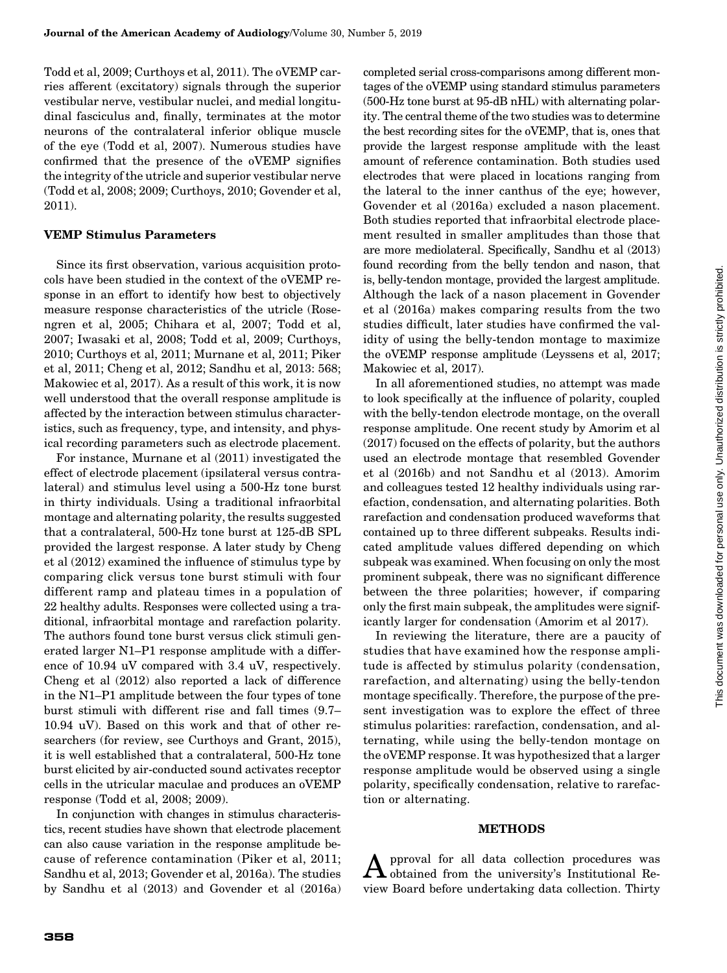Todd et al, 2009; Curthoys et al, 2011). The oVEMP carries afferent (excitatory) signals through the superior vestibular nerve, vestibular nuclei, and medial longitudinal fasciculus and, finally, terminates at the motor neurons of the contralateral inferior oblique muscle of the eye (Todd et al, 2007). Numerous studies have confirmed that the presence of the oVEMP signifies the integrity of the utricle and superior vestibular nerve (Todd et al, 2008; 2009; Curthoys, 2010; Govender et al, 2011).

## VEMP Stimulus Parameters

Since its first observation, various acquisition protocols have been studied in the context of the oVEMP response in an effort to identify how best to objectively measure response characteristics of the utricle (Rosengren et al, 2005; Chihara et al, 2007; Todd et al, 2007; Iwasaki et al, 2008; Todd et al, 2009; Curthoys, 2010; Curthoys et al, 2011; Murnane et al, 2011; Piker et al, 2011; Cheng et al, 2012; Sandhu et al, 2013: 568; Makowiec et al, 2017). As a result of this work, it is now well understood that the overall response amplitude is affected by the interaction between stimulus characteristics, such as frequency, type, and intensity, and physical recording parameters such as electrode placement.

For instance, Murnane et al (2011) investigated the effect of electrode placement (ipsilateral versus contralateral) and stimulus level using a 500-Hz tone burst in thirty individuals. Using a traditional infraorbital montage and alternating polarity, the results suggested that a contralateral, 500-Hz tone burst at 125-dB SPL provided the largest response. A later study by Cheng et al (2012) examined the influence of stimulus type by comparing click versus tone burst stimuli with four different ramp and plateau times in a population of 22 healthy adults. Responses were collected using a traditional, infraorbital montage and rarefaction polarity. The authors found tone burst versus click stimuli generated larger N1–P1 response amplitude with a difference of 10.94 uV compared with 3.4 uV, respectively. Cheng et al (2012) also reported a lack of difference in the N1–P1 amplitude between the four types of tone burst stimuli with different rise and fall times (9.7– 10.94 uV). Based on this work and that of other researchers (for review, see Curthoys and Grant, 2015), it is well established that a contralateral, 500-Hz tone burst elicited by air-conducted sound activates receptor cells in the utricular maculae and produces an oVEMP response (Todd et al, 2008; 2009).

In conjunction with changes in stimulus characteristics, recent studies have shown that electrode placement can also cause variation in the response amplitude because of reference contamination (Piker et al, 2011; Sandhu et al, 2013; Govender et al, 2016a). The studies by Sandhu et al (2013) and Govender et al (2016a) completed serial cross-comparisons among different montages of the oVEMP using standard stimulus parameters (500-Hz tone burst at 95-dB nHL) with alternating polarity. The central theme of the two studies was to determine the best recording sites for the oVEMP, that is, ones that provide the largest response amplitude with the least amount of reference contamination. Both studies used electrodes that were placed in locations ranging from the lateral to the inner canthus of the eye; however, Govender et al (2016a) excluded a nason placement. Both studies reported that infraorbital electrode placement resulted in smaller amplitudes than those that are more mediolateral. Specifically, Sandhu et al (2013) found recording from the belly tendon and nason, that is, belly-tendon montage, provided the largest amplitude. Although the lack of a nason placement in Govender et al (2016a) makes comparing results from the two studies difficult, later studies have confirmed the validity of using the belly-tendon montage to maximize the oVEMP response amplitude (Leyssens et al, 2017; Makowiec et al, 2017).

In all aforementioned studies, no attempt was made to look specifically at the influence of polarity, coupled with the belly-tendon electrode montage, on the overall response amplitude. One recent study by Amorim et al (2017) focused on the effects of polarity, but the authors used an electrode montage that resembled Govender et al (2016b) and not Sandhu et al (2013). Amorim and colleagues tested 12 healthy individuals using rarefaction, condensation, and alternating polarities. Both rarefaction and condensation produced waveforms that contained up to three different subpeaks. Results indicated amplitude values differed depending on which subpeak was examined. When focusing on only the most prominent subpeak, there was no significant difference between the three polarities; however, if comparing only the first main subpeak, the amplitudes were significantly larger for condensation (Amorim et al 2017).

In reviewing the literature, there are a paucity of studies that have examined how the response amplitude is affected by stimulus polarity (condensation, rarefaction, and alternating) using the belly-tendon montage specifically. Therefore, the purpose of the present investigation was to explore the effect of three stimulus polarities: rarefaction, condensation, and alternating, while using the belly-tendon montage on the oVEMP response. It was hypothesized that a larger response amplitude would be observed using a single polarity, specifically condensation, relative to rarefaction or alternating.

#### METHODS

Approval for all data collection procedures was obtained from the university's Institutional Review Board before undertaking data collection. Thirty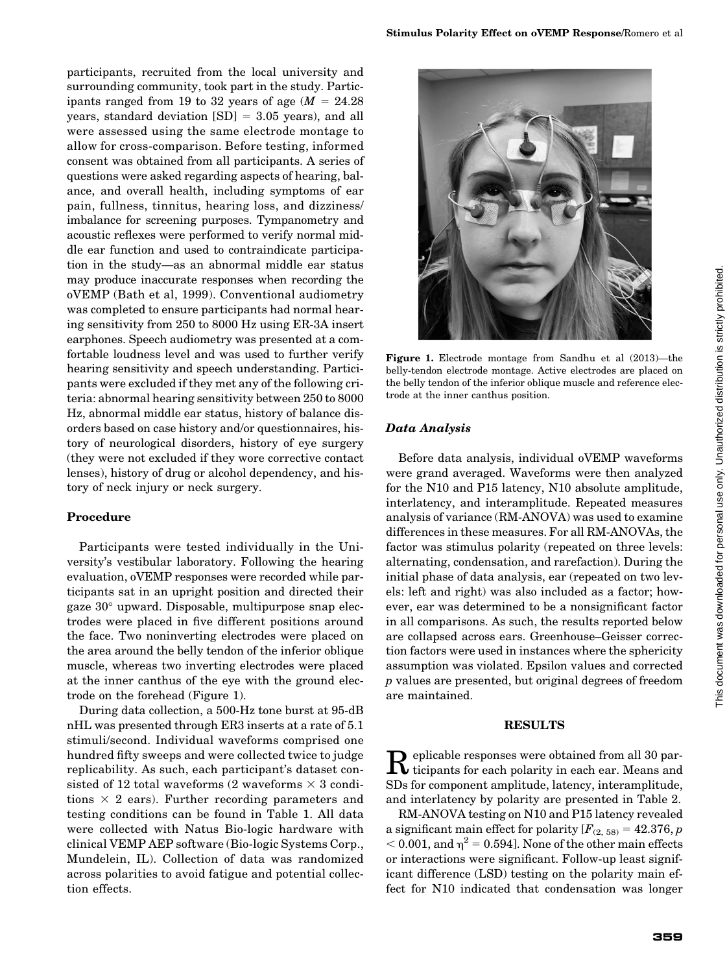participants, recruited from the local university and surrounding community, took part in the study. Participants ranged from 19 to 32 years of age  $(M = 24.28$ years, standard deviation  $[SD] = 3.05$  years), and all were assessed using the same electrode montage to allow for cross-comparison. Before testing, informed consent was obtained from all participants. A series of questions were asked regarding aspects of hearing, balance, and overall health, including symptoms of ear pain, fullness, tinnitus, hearing loss, and dizziness/ imbalance for screening purposes. Tympanometry and acoustic reflexes were performed to verify normal middle ear function and used to contraindicate participation in the study—as an abnormal middle ear status may produce inaccurate responses when recording the oVEMP (Bath et al, 1999). Conventional audiometry was completed to ensure participants had normal hearing sensitivity from 250 to 8000 Hz using ER-3A insert earphones. Speech audiometry was presented at a comfortable loudness level and was used to further verify hearing sensitivity and speech understanding. Participants were excluded if they met any of the following criteria: abnormal hearing sensitivity between 250 to 8000 Hz, abnormal middle ear status, history of balance disorders based on case history and/or questionnaires, history of neurological disorders, history of eye surgery (they were not excluded if they wore corrective contact lenses), history of drug or alcohol dependency, and his-

#### Procedure

tory of neck injury or neck surgery.

Participants were tested individually in the University's vestibular laboratory. Following the hearing evaluation, oVEMP responses were recorded while participants sat in an upright position and directed their gaze  $30^{\circ}$  upward. Disposable, multipurpose snap electrodes were placed in five different positions around the face. Two noninverting electrodes were placed on the area around the belly tendon of the inferior oblique muscle, whereas two inverting electrodes were placed at the inner canthus of the eye with the ground electrode on the forehead (Figure 1).

During data collection, a 500-Hz tone burst at 95-dB nHL was presented through ER3 inserts at a rate of 5.1 stimuli/second. Individual waveforms comprised one hundred fifty sweeps and were collected twice to judge replicability. As such, each participant's dataset consisted of 12 total waveforms (2 waveforms  $\times$  3 conditions  $\times$  2 ears). Further recording parameters and testing conditions can be found in Table 1. All data were collected with Natus Bio-logic hardware with clinical VEMP AEP software (Bio-logic Systems Corp., Mundelein, IL). Collection of data was randomized across polarities to avoid fatigue and potential collection effects.



Figure 1. Electrode montage from Sandhu et al (2013)—the belly-tendon electrode montage. Active electrodes are placed on the belly tendon of the inferior oblique muscle and reference electrode at the inner canthus position.

## Data Analysis

Before data analysis, individual oVEMP waveforms were grand averaged. Waveforms were then analyzed for the N10 and P15 latency, N10 absolute amplitude, interlatency, and interamplitude. Repeated measures analysis of variance (RM-ANOVA) was used to examine differences in these measures. For all RM-ANOVAs, the factor was stimulus polarity (repeated on three levels: alternating, condensation, and rarefaction). During the initial phase of data analysis, ear (repeated on two levels: left and right) was also included as a factor; however, ear was determined to be a nonsignificant factor in all comparisons. As such, the results reported below are collapsed across ears. Greenhouse–Geisser correction factors were used in instances where the sphericity assumption was violated. Epsilon values and corrected p values are presented, but original degrees of freedom are maintained.

#### RESULTS

 $\mathbf R$  eplicable responses were obtained from all 30 par-SDs for component amplitude, latency, interamplitude, and interlatency by polarity are presented in Table 2.

RM-ANOVA testing on N10 and P15 latency revealed a significant main effect for polarity  $[F_{(2, 58)} = 42.376, p]$  $<$  0.001, and  $\eta^2$  = 0.594]. None of the other main effects or interactions were significant. Follow-up least significant difference (LSD) testing on the polarity main effect for N10 indicated that condensation was longer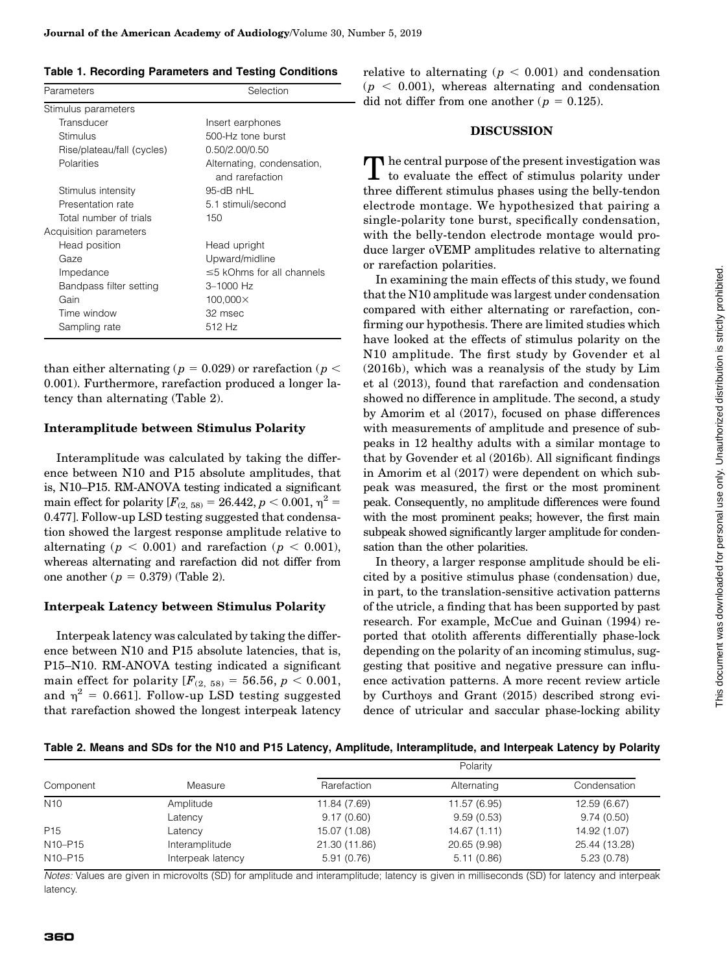|  |  |  | <b>Table 1. Recording Parameters and Testing Conditions</b> |
|--|--|--|-------------------------------------------------------------|
|--|--|--|-------------------------------------------------------------|

| Parameters                 | Selection                                     |  |  |
|----------------------------|-----------------------------------------------|--|--|
| Stimulus parameters        |                                               |  |  |
| Transducer                 | Insert earphones                              |  |  |
| Stimulus                   | 500-Hz tone burst                             |  |  |
| Rise/plateau/fall (cycles) | 0.50/2.00/0.50                                |  |  |
| Polarities                 | Alternating, condensation,<br>and rarefaction |  |  |
| Stimulus intensity         | $95-dB$ nHL                                   |  |  |
| Presentation rate          | 5.1 stimuli/second                            |  |  |
| Total number of trials     | 150                                           |  |  |
| Acquisition parameters     |                                               |  |  |
| Head position              | Head upright                                  |  |  |
| Gaze                       | Upward/midline                                |  |  |
| Impedance                  | $\leq$ 5 kOhms for all channels               |  |  |
| Bandpass filter setting    | 3-1000 Hz                                     |  |  |
| Gain                       | 100,000×                                      |  |  |
| Time window                | 32 msec                                       |  |  |
| Sampling rate              | 512 Hz                                        |  |  |

than either alternating ( $p = 0.029$ ) or rarefaction ( $p <$ 0.001). Furthermore, rarefaction produced a longer latency than alternating (Table 2).

## Interamplitude between Stimulus Polarity

Interamplitude was calculated by taking the difference between N10 and P15 absolute amplitudes, that is, N10–P15. RM-ANOVA testing indicated a significant main effect for polarity  $[F_{(2, 58)} = 26.442, p < 0.001, \eta^2 =$ 0.477]. Follow-up LSD testing suggested that condensation showed the largest response amplitude relative to alternating ( $p < 0.001$ ) and rarefaction ( $p < 0.001$ ), whereas alternating and rarefaction did not differ from one another ( $p = 0.379$ ) (Table 2).

## Interpeak Latency between Stimulus Polarity

Interpeak latency was calculated by taking the difference between N10 and P15 absolute latencies, that is, P15–N10. RM-ANOVA testing indicated a significant main effect for polarity  $[F_{(2, 58)} = 56.56, p < 0.001,$ and  $\eta^2$  = 0.661]. Follow-up LSD testing suggested that rarefaction showed the longest interpeak latency

relative to alternating ( $p < 0.001$ ) and condensation  $(p < 0.001)$ , whereas alternating and condensation did not differ from one another ( $p = 0.125$ ).

## **DISCUSSION**

The central purpose of the present investigation was to evaluate the effect of stimulus polarity under three different stimulus phases using the belly-tendon electrode montage. We hypothesized that pairing a single-polarity tone burst, specifically condensation, with the belly-tendon electrode montage would produce larger oVEMP amplitudes relative to alternating or rarefaction polarities.

In examining the main effects of this study, we found that the N10 amplitude was largest under condensation compared with either alternating or rarefaction, confirming our hypothesis. There are limited studies which have looked at the effects of stimulus polarity on the N10 amplitude. The first study by Govender et al (2016b), which was a reanalysis of the study by Lim et al (2013), found that rarefaction and condensation showed no difference in amplitude. The second, a study by Amorim et al (2017), focused on phase differences with measurements of amplitude and presence of subpeaks in 12 healthy adults with a similar montage to that by Govender et al (2016b). All significant findings in Amorim et al (2017) were dependent on which subpeak was measured, the first or the most prominent peak. Consequently, no amplitude differences were found with the most prominent peaks; however, the first main subpeak showed significantly larger amplitude for condensation than the other polarities.

In theory, a larger response amplitude should be elicited by a positive stimulus phase (condensation) due, in part, to the translation-sensitive activation patterns of the utricle, a finding that has been supported by past research. For example, McCue and Guinan (1994) reported that otolith afferents differentially phase-lock depending on the polarity of an incoming stimulus, suggesting that positive and negative pressure can influence activation patterns. A more recent review article by Curthoys and Grant (2015) described strong evidence of utricular and saccular phase-locking ability

Table 2. Means and SDs for the N10 and P15 Latency, Amplitude, Interamplitude, and Interpeak Latency by Polarity

| Component                        | Measure           | Polarity      |              |               |
|----------------------------------|-------------------|---------------|--------------|---------------|
|                                  |                   | Rarefaction   | Alternating  | Condensation  |
| N <sub>10</sub>                  | Amplitude         | 11.84 (7.69)  | 11.57 (6.95) | 12.59 (6.67)  |
|                                  | Latency           | 9.17(0.60)    | 9.59(0.53)   | 9.74(0.50)    |
| P <sub>15</sub>                  | Latency           | 15.07 (1.08)  | 14.67 (1.11) | 14.92 (1.07)  |
| N <sub>10</sub> -P <sub>15</sub> | Interamplitude    | 21.30 (11.86) | 20.65 (9.98) | 25.44 (13.28) |
| N <sub>10</sub> -P <sub>15</sub> | Interpeak latency | 5.91(0.76)    | 5.11(0.86)   | 5.23(0.78)    |

Notes: Values are given in microvolts (SD) for amplitude and interamplitude; latency is given in milliseconds (SD) for latency and interpeak latency.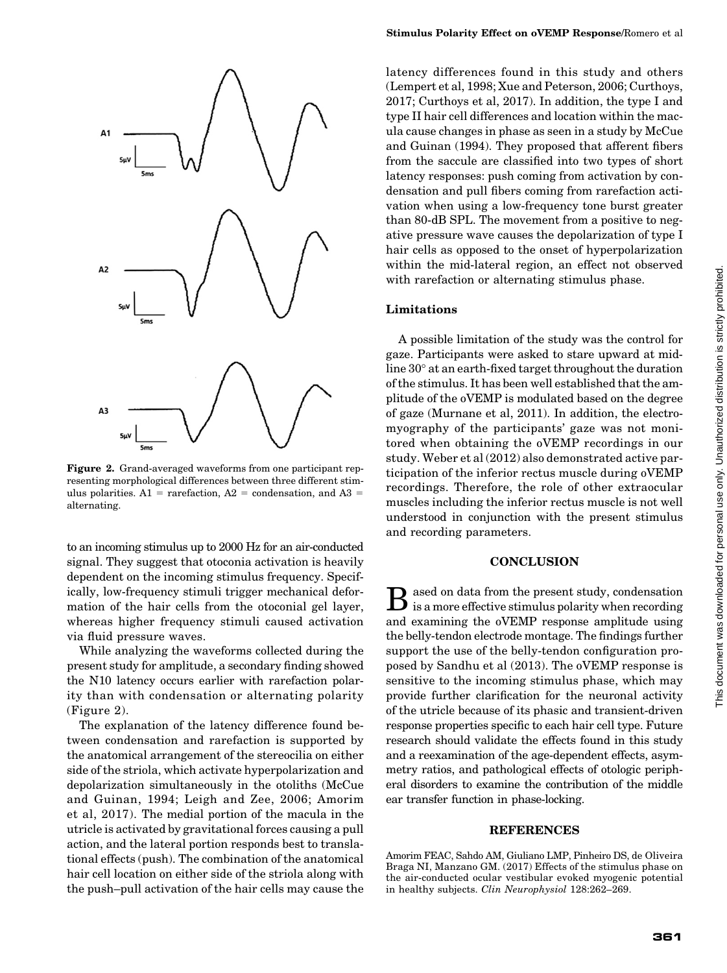

Figure 2. Grand-averaged waveforms from one participant representing morphological differences between three different stimulus polarities.  $A1 = rarefactor, A2 = condensation, and A3 =$ alternating.

to an incoming stimulus up to 2000 Hz for an air-conducted signal. They suggest that otoconia activation is heavily dependent on the incoming stimulus frequency. Specifically, low-frequency stimuli trigger mechanical deformation of the hair cells from the otoconial gel layer, whereas higher frequency stimuli caused activation via fluid pressure waves.

While analyzing the waveforms collected during the present study for amplitude, a secondary finding showed the N10 latency occurs earlier with rarefaction polarity than with condensation or alternating polarity (Figure 2).

The explanation of the latency difference found between condensation and rarefaction is supported by the anatomical arrangement of the stereocilia on either side of the striola, which activate hyperpolarization and depolarization simultaneously in the otoliths (McCue and Guinan, 1994; Leigh and Zee, 2006; Amorim et al, 2017). The medial portion of the macula in the utricle is activated by gravitational forces causing a pull action, and the lateral portion responds best to translational effects (push). The combination of the anatomical hair cell location on either side of the striola along with the push–pull activation of the hair cells may cause the

latency differences found in this study and others (Lempert et al, 1998; Xue and Peterson, 2006; Curthoys, 2017; Curthoys et al, 2017). In addition, the type I and type II hair cell differences and location within the macula cause changes in phase as seen in a study by McCue and Guinan (1994). They proposed that afferent fibers from the saccule are classified into two types of short latency responses: push coming from activation by condensation and pull fibers coming from rarefaction activation when using a low-frequency tone burst greater than 80-dB SPL. The movement from a positive to negative pressure wave causes the depolarization of type I hair cells as opposed to the onset of hyperpolarization within the mid-lateral region, an effect not observed with rarefaction or alternating stimulus phase.

#### Limitations

A possible limitation of the study was the control for gaze. Participants were asked to stare upward at midline  $30^{\circ}$  at an earth-fixed target throughout the duration of the stimulus. It has been well established that the amplitude of the oVEMP is modulated based on the degree of gaze (Murnane et al, 2011). In addition, the electromyography of the participants' gaze was not monitored when obtaining the oVEMP recordings in our study. Weber et al (2012) also demonstrated active participation of the inferior rectus muscle during oVEMP recordings. Therefore, the role of other extraocular muscles including the inferior rectus muscle is not well understood in conjunction with the present stimulus and recording parameters.

#### **CONCLUSION**

 $\bf{B}$  ased on data from the present study, condensation is a more effective stimulus polarity when recording and examining the oVEMP response amplitude using the belly-tendon electrode montage. The findings further support the use of the belly-tendon configuration proposed by Sandhu et al (2013). The oVEMP response is sensitive to the incoming stimulus phase, which may provide further clarification for the neuronal activity of the utricle because of its phasic and transient-driven response properties specific to each hair cell type. Future research should validate the effects found in this study and a reexamination of the age-dependent effects, asymmetry ratios, and pathological effects of otologic peripheral disorders to examine the contribution of the middle ear transfer function in phase-locking.

#### **REFERENCES**

Amorim FEAC, Sahdo AM, Giuliano LMP, Pinheiro DS, de Oliveira Braga NI, Manzano GM. (2017) Effects of the stimulus phase on the air-conducted ocular vestibular evoked myogenic potential in healthy subjects. Clin Neurophysiol 128:262–269.